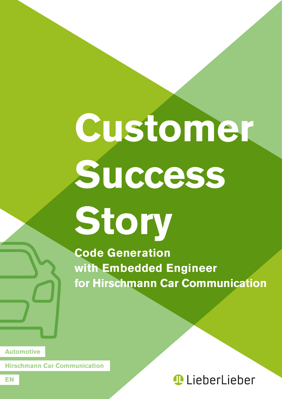# **Customer Success**

**Story**

**Code Generation with Embedded Engineer for Hirschmann Car Communication**

**Automotive**

**Hirschmann Car Communication**

### **LieberLieber**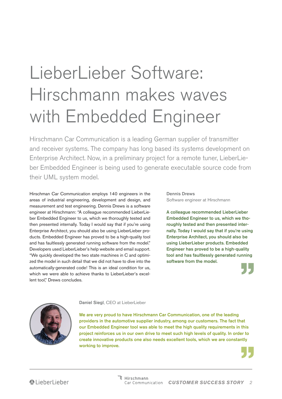## LieberLieber Software: Hirschmann makes waves with Embedded Engineer

Hirschmann Car Communication is a leading German supplier of transmitter and receiver systems. The company has long based its systems development on Enterprise Architect. Now, in a preliminary project for a remote tuner, LieberLieber Embedded Engineer is being used to generate executable source code from their UML system model.

Hirschman Car Communication employs 140 engineers in the areas of industrial engineering, development and design, and measurement and test engineering. Dennis Drews is a software engineer at Hirschmann: "A colleague recommended LieberLieber Embedded Engineer to us, which we thoroughly tested and then presented internally. Today I would say that if you're using Enterprise Architect, you should also be using LieberLieber products. Embedded Engineer has proved to be a high-quality tool and has faultlessly generated running software from the model." Developers used LieberLieber's help website and email support. "We quickly developed the two state machines in C and optimized the model in such detail that we did not have to dive into the automatically-generated code! This is an ideal condition for us, which we were able to achieve thanks to LieberLieber's excellent tool." Drews concludes.

Dennis Drews Software engineer at Hirschmann

A colleague recommended LieberLieber Embedded Engineer to us, which we thoroughly tested and then presented internally. Today I would say that if you're using Enterprise Architect, you should also be using LieberLieber products. Embedded Engineer has proved to be a high-quality tool and has faultlessly generated running software from the model.





#### Daniel Siegl, CEO at LieberLieber

We are very proud to have Hirschmann Car Communication, one of the leading providers in the automotive supplier industry, among our customers. The fact that our Embedded Engineer tool was able to meet the high quality requirements in this project reinforces us in our own drive to meet such high levels of quality. In order to create innovative products one also needs excellent tools, which we are constantly working to improve.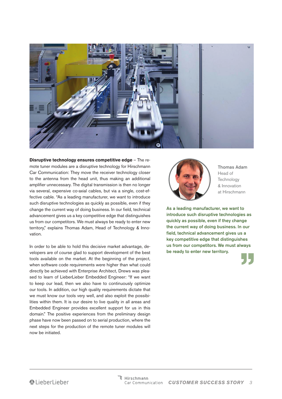

**Disruptive technology ensures competitive edge** – The remote tuner modules are a disruptive technology for Hirschmann Car Communication: They move the receiver technology closer to the antenna from the head unit, thus making an additional amplifier unnecessary. The digital transmission is then no longer via several, expensive co-axial cables, but via a single, cost-effective cable. "As a leading manufacturer, we want to introduce such disruptive technologies as quickly as possible, even if they change the current way of doing business. In our field, technical advancement gives us a key competitive edge that distinguishes us from our competitors. We must always be ready to enter new territory," explains Thomas Adam, Head of Technology & Innovation.

In order to be able to hold this decisive market advantage, developers are of course glad to support development of the best tools available on the market. At the beginning of the project, when software code requirements were higher than what could directly be achieved with Enterprise Architect, Drews was pleased to learn of LieberLieber Embedded Engineer: "If we want to keep our lead, then we also have to continuously optimize our tools. In addition, our high quality requirements dictate that we must know our tools very well, and also exploit the possibilities within them. It is our desire to live quality in all areas and Embedded Engineer provides excellent support for us in this domain." The positive experiences from the preliminary design phase have now been passed on to serial production, where the next steps for the production of the remote tuner modules will now be initiated.



Thomas Adam Head of **Technology** & Innovation at Hirschmann

As a leading manufacturer, we want to introduce such disruptive technologies as quickly as possible, even if they change the current way of doing business. In our field, technical advancement gives us a key competitive edge that distinguishes us from our competitors. We must always be ready to enter new territory.